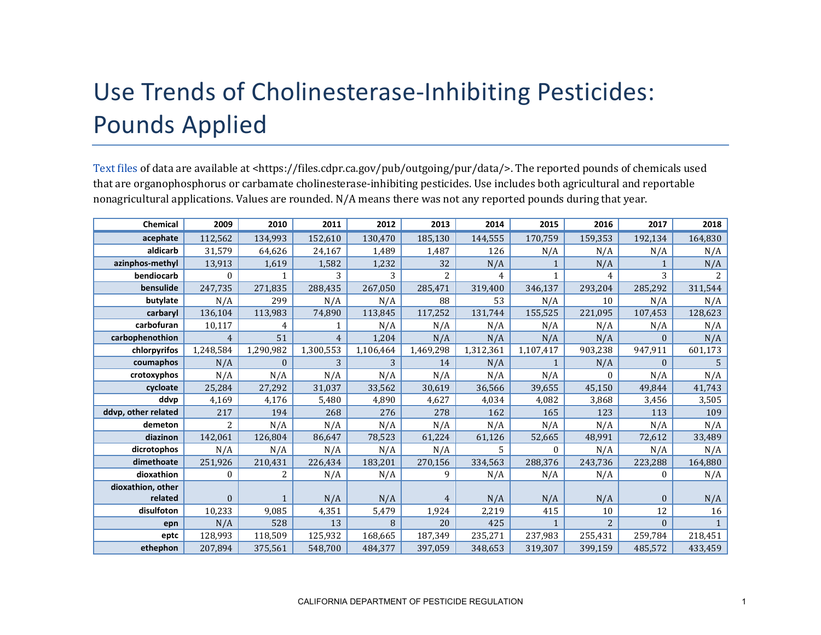## Use Trends of Cholinesterase-Inhibiting Pesticides: Pounds Applied

[Text files](https://files.cdpr.ca.gov/pub/outgoing/pur/data/) of data are available at <https://files.cdpr.ca.gov/pub/outgoing/pur/data/>. The reported pounds of chemicals used that are organophosphorus or carbamate cholinesterase-inhibiting pesticides. Use includes both agricultural and reportable nonagricultural applications. Values are rounded. N/A means there was not any reported pounds during that year.

| Chemical            | 2009           | 2010         | 2011           | 2012      | 2013      | 2014      | 2015         | 2016    | 2017         | 2018          |
|---------------------|----------------|--------------|----------------|-----------|-----------|-----------|--------------|---------|--------------|---------------|
| acephate            | 112,562        | 134,993      | 152,610        | 130,470   | 185,130   | 144,555   | 170,759      | 159,353 | 192,134      | 164,830       |
| aldicarb            | 31,579         | 64,626       | 24,167         | 1,489     | 1,487     | 126       | N/A          | N/A     | N/A          | N/A           |
| azinphos-methyl     | 13,913         | 1,619        | 1,582          | 1,232     | 32        | N/A       |              | N/A     |              | N/A           |
| bendiocarb          | $\Omega$       |              | 3              | 3         | 2         | 4         | 1            | 4       | 3            | $\mathcal{L}$ |
| bensulide           | 247,735        | 271,835      | 288,435        | 267,050   | 285,471   | 319,400   | 346,137      | 293,204 | 285,292      | 311,544       |
| butylate            | N/A            | 299          | N/A            | N/A       | 88        | 53        | N/A          | 10      | N/A          | N/A           |
| carbaryl            | 136,104        | 113,983      | 74,890         | 113,845   | 117,252   | 131,744   | 155,525      | 221,095 | 107,453      | 128,623       |
| carbofuran          | 10,117         | 4            | 1              | N/A       | N/A       | N/A       | N/A          | N/A     | N/A          | N/A           |
| carbophenothion     | $\overline{4}$ | 51           | $\overline{4}$ | 1,204     | N/A       | N/A       | N/A          | N/A     | $\Omega$     | N/A           |
| chlorpyrifos        | 1,248,584      | 1,290,982    | 1,300,553      | 1,106,464 | 1,469,298 | 1,312,361 | 1,107,417    | 903,238 | 947,911      | 601,173       |
| coumaphos           | N/A            | $\mathbf{0}$ | 3              | 3         | 14        | N/A       |              | N/A     | $\mathbf{0}$ | 5             |
| crotoxyphos         | N/A            | N/A          | N/A            | N/A       | N/A       | N/A       | N/A          | 0       | N/A          | N/A           |
| cycloate            | 25,284         | 27,292       | 31,037         | 33,562    | 30,619    | 36,566    | 39,655       | 45,150  | 49,844       | 41,743        |
| ddvp                | 4,169          | 4,176        | 5,480          | 4,890     | 4,627     | 4,034     | 4,082        | 3,868   | 3,456        | 3,505         |
| ddvp, other related | 217            | 194          | 268            | 276       | 278       | 162       | 165          | 123     | 113          | 109           |
| demeton             | 2              | N/A          | N/A            | N/A       | N/A       | N/A       | N/A          | N/A     | N/A          | N/A           |
| diazinon            | 142,061        | 126,804      | 86,647         | 78,523    | 61,224    | 61,126    | 52,665       | 48,991  | 72,612       | 33,489        |
| dicrotophos         | N/A            | N/A          | N/A            | N/A       | N/A       | 5         | 0            | N/A     | N/A          | N/A           |
| dimethoate          | 251,926        | 210,431      | 226,434        | 183,201   | 270,156   | 334,563   | 288,376      | 243,736 | 223,288      | 164,880       |
| dioxathion          | $\Omega$       | 2            | N/A            | N/A       | 9         | N/A       | N/A          | N/A     | $\Omega$     | N/A           |
| dioxathion, other   |                |              |                |           |           |           |              |         |              |               |
| related             | $\mathbf{0}$   | 1            | N/A            | N/A       | 4         | N/A       | N/A          | N/A     | $\mathbf{0}$ | N/A           |
| disulfoton          | 10,233         | 9,085        | 4,351          | 5,479     | 1,924     | 2,219     | 415          | 10      | 12           | 16            |
| epn                 | N/A            | 528          | 13             | 8         | 20        | 425       | $\mathbf{1}$ | 2       | $\Omega$     | $\mathbf{1}$  |
| eptc                | 128,993        | 118,509      | 125,932        | 168,665   | 187,349   | 235,271   | 237,983      | 255,431 | 259.784      | 218,451       |
| ethephon            | 207,894        | 375,561      | 548,700        | 484,377   | 397,059   | 348,653   | 319,307      | 399,159 | 485,572      | 433,459       |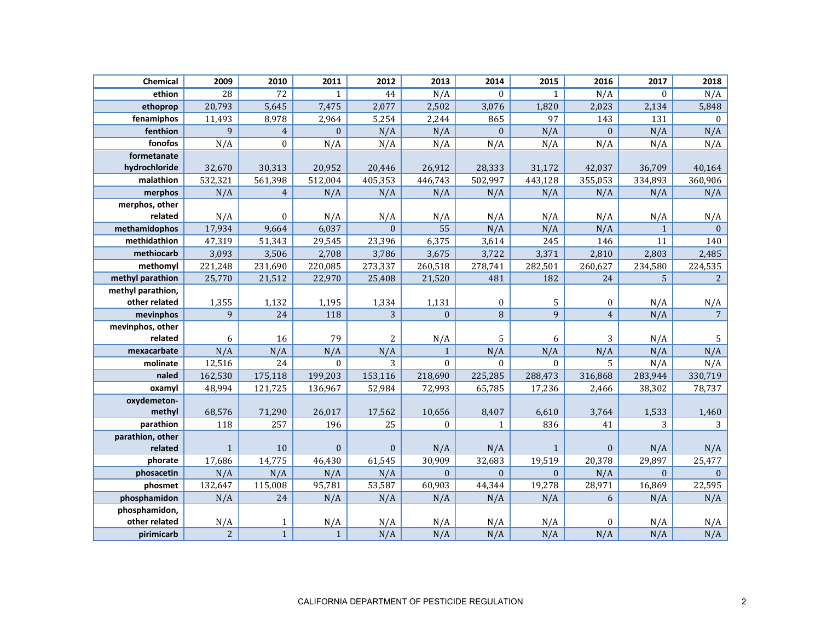| Chemical          | 2009            | 2010             | 2011         | 2012         | 2013         | 2014             | 2015         | 2016             | 2017           | 2018             |
|-------------------|-----------------|------------------|--------------|--------------|--------------|------------------|--------------|------------------|----------------|------------------|
| ethion            | $\overline{28}$ | 72               | $\mathbf{1}$ | 44           | N/A          | $\mathbf{0}$     | $\mathbf{1}$ | N/A              | $\overline{0}$ | N/A              |
| ethoprop          | 20,793          | 5,645            | 7,475        | 2,077        | 2,502        | 3,076            | 1,820        | 2,023            | 2,134          | 5,848            |
| fenamiphos        | 11,493          | 8,978            | 2,964        | 5,254        | 2,244        | 865              | 97           | 143              | 131            | $\boldsymbol{0}$ |
| fenthion          | 9               | $\overline{4}$   | $\mathbf{0}$ | N/A          | N/A          | $\mathbf{0}$     | N/A          | $\boldsymbol{0}$ | N/A            | N/A              |
| fonofos           | N/A             | $\mathbf{0}$     | N/A          | N/A          | N/A          | N/A              | N/A          | N/A              | N/A            | N/A              |
| formetanate       |                 |                  |              |              |              |                  |              |                  |                |                  |
| hydrochloride     | 32,670          | 30,313           | 20,952       | 20,446       | 26,912       | 28,333           | 31,172       | 42,037           | 36,709         | 40,164           |
| malathion         | 532,321         | 561,398          | 512,004      | 405,353      | 446,743      | 502,997          | 443,128      | 355,053          | 334,893        | 360,906          |
| merphos           | N/A             | $\overline{4}$   | N/A          | N/A          | N/A          | N/A              | N/A          | N/A              | N/A            | N/A              |
| merphos, other    |                 |                  |              |              |              |                  |              |                  |                |                  |
| related           | N/A             | $\boldsymbol{0}$ | N/A          | N/A          | N/A          | N/A              | N/A          | N/A              | N/A            | N/A              |
| methamidophos     | 17,934          | 9,664            | 6,037        | $\Omega$     | 55           | N/A              | N/A          | N/A              | $\mathbf{1}$   | $\mathbf{0}$     |
| methidathion      | 47,319          | 51,343           | 29,545       | 23,396       | 6,375        | 3,614            | 245          | 146              | 11             | 140              |
| methiocarb        | 3,093           | 3,506            | 2,708        | 3,786        | 3,675        | 3,722            | 3,371        | 2,810            | 2,803          | 2,485            |
| methomyl          | 221,248         | 231,690          | 220,085      | 273,337      | 260,518      | 278,741          | 282,501      | 260,627          | 234,580        | 224,535          |
| methyl parathion  | 25,770          | 21,512           | 22,970       | 25,408       | 21,520       | 481              | 182          | 24               | 5              | $\overline{2}$   |
| methyl parathion, |                 |                  |              |              |              |                  |              |                  |                |                  |
| other related     | 1,355           | 1,132            | 1,195        | 1,334        | 1,131        | $\boldsymbol{0}$ | 5            | $\boldsymbol{0}$ | N/A            | N/A              |
| mevinphos         | 9               | 24               | 118          | 3            | $\Omega$     | 8                | 9            | $\overline{4}$   | N/A            | $\overline{7}$   |
| mevinphos, other  |                 |                  |              |              |              |                  |              |                  |                |                  |
| related           | 6               | 16               | 79           | 2            | N/A          | 5                | 6            | 3                | N/A            | 5                |
| mexacarbate       | N/A             | N/A              | N/A          | N/A          | $\mathbf{1}$ | N/A              | N/A          | N/A              | N/A            | N/A              |
| molinate          | 12,516          | 24               | $\Omega$     | 3            | $\Omega$     | $\Omega$         | $\mathbf{0}$ | 5                | N/A            | N/A              |
| naled             | 162,530         | 175,118          | 199,203      | 153,116      | 218,690      | 225,285          | 288,473      | 316,868          | 283,944        | 330,719          |
| oxamyl            | 48,994          | 121,725          | 136,967      | 52,984       | 72,993       | 65,785           | 17,236       | 2,466            | 38,302         | 78,737           |
| oxydemeton-       |                 |                  |              |              |              |                  |              |                  |                |                  |
| methyl            | 68,576          | 71,290           | 26,017       | 17,562       | 10,656       | 8,407            | 6,610        | 3,764            | 1,533          | 1,460            |
| parathion         | 118             | 257              | 196          | 25           | $\Omega$     | $\mathbf{1}$     | 836          | 41               | 3              | 3                |
| parathion, other  |                 |                  |              |              |              |                  |              |                  |                |                  |
| related           | $\mathbf{1}$    | 10               | $\mathbf{0}$ | $\mathbf{0}$ | N/A          | N/A              | $\mathbf{1}$ | $\mathbf{0}$     | N/A            | N/A              |
| phorate           | 17,686          | 14,775           | 46,430       | 61,545       | 30,909       | 32,683           | 19,519       | 20,378           | 29,897         | 25,477           |
| phosacetin        | N/A             | N/A              | N/A          | N/A          | $\Omega$     | $\Omega$         | $\Omega$     | N/A              | $\Omega$       | $\Omega$         |
| phosmet           | 132,647         | 115,008          | 95,781       | 53,587       | 60,903       | 44,344           | 19,278       | 28,971           | 16,869         | 22,595           |
| phosphamidon      | N/A             | 24               | N/A          | N/A          | N/A          | N/A              | N/A          | 6                | N/A            | N/A              |
| phosphamidon,     |                 |                  |              |              |              |                  |              |                  |                |                  |
| other related     | N/A             | $\mathbf{1}$     | N/A          | N/A          | N/A          | N/A              | N/A          | $\mathbf{0}$     | N/A            | N/A              |
| pirimicarb        | $\overline{2}$  | $\mathbf{1}$     | $\mathbf{1}$ | N/A          | N/A          | N/A              | N/A          | N/A              | N/A            | N/A              |